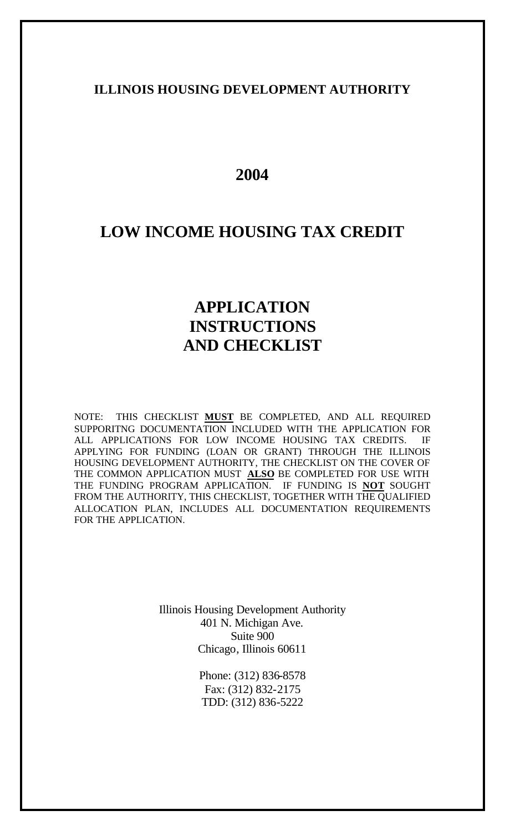## **ILLINOIS HOUSING DEVELOPMENT AUTHORITY**

# **2004**

# **LOW INCOME HOUSING TAX CREDIT**

# **APPLICATION INSTRUCTIONS AND CHECKLIST**

NOTE: THIS CHECKLIST **MUST** BE COMPLETED, AND ALL REQUIRED SUPPORITNG DOCUMENTATION INCLUDED WITH THE APPLICATION FOR ALL APPLICATIONS FOR LOW INCOME HOUSING TAX CREDITS. IF APPLYING FOR FUNDING (LOAN OR GRANT) THROUGH THE ILLINOIS HOUSING DEVELOPMENT AUTHORITY, THE CHECKLIST ON THE COVER OF THE COMMON APPLICATION MUST **ALSO** BE COMPLETED FOR USE WITH THE FUNDING PROGRAM APPLICATION. IF FUNDING IS **NOT** SOUGHT FROM THE AUTHORITY, THIS CHECKLIST, TOGETHER WITH THE QUALIFIED ALLOCATION PLAN, INCLUDES ALL DOCUMENTATION REQUIREMENTS FOR THE APPLICATION.

> Illinois Housing Development Authority 401 N. Michigan Ave. Suite 900 Chicago, Illinois 60611

> > Phone: (312) 836-8578 Fax: (312) 832-2175 TDD: (312) 836-5222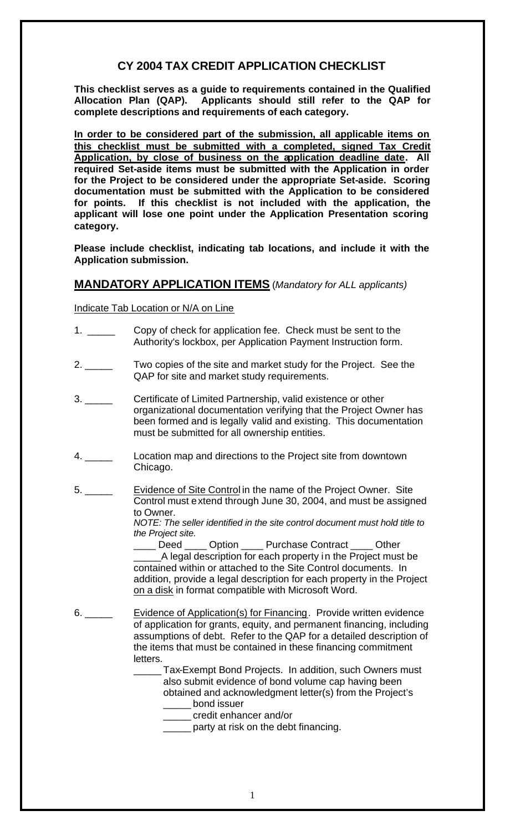# **CY 2004 TAX CREDIT APPLICATION CHECKLIST**

**This checklist serves as a guide to requirements contained in the Qualified Allocation Plan (QAP). Applicants should still refer to the QAP for complete descriptions and requirements of each category.** 

**In order to be considered part of the submission, all applicable items on this checklist must be submitted with a completed, signed Tax Credit Application, by close of business on the application deadline date. All required Set-aside items must be submitted with the Application in order for the Project to be considered under the appropriate Set-aside. Scoring documentation must be submitted with the Application to be considered for points. If this checklist is not included with the application, the applicant will lose one point under the Application Presentation scoring category.**

**Please include checklist, indicating tab locations, and include it with the Application submission.**

## **MANDATORY APPLICATION ITEMS** (*Mandatory for ALL applicants)*

Indicate Tab Location or N/A on Line

- 1. \_\_\_\_\_ Copy of check for application fee. Check must be sent to the Authority's lockbox, per Application Payment Instruction form.
- 2. \_\_\_\_\_ Two copies of the site and market study for the Project. See the QAP for site and market study requirements.
- 3. \_\_\_\_\_ Certificate of Limited Partnership, valid existence or other organizational documentation verifying that the Project Owner has been formed and is legally valid and existing. This documentation must be submitted for all ownership entities.
- 4. \_\_\_\_\_ Location map and directions to the Project site from downtown Chicago.
- 5. \_\_\_\_\_ Evidence of Site Control in the name of the Project Owner. Site Control must extend through June 30, 2004, and must be assigned to Owner.

*NOTE: The seller identified in the site control document must hold title to the Project site.*

Deed Option Purchase Contract Other A legal description for each property in the Project must be contained within or attached to the Site Control documents. In addition, provide a legal description for each property in the Project on a disk in format compatible with Microsoft Word.

- 6. \_\_\_\_\_ Evidence of Application(s) for Financing. Provide written evidence of application for grants, equity, and permanent financing, including assumptions of debt. Refer to the QAP for a detailed description of the items that must be contained in these financing commitment letters.
	- Tax-Exempt Bond Projects. In addition, such Owners must also submit evidence of bond volume cap having been obtained and acknowledgment letter(s) from the Project's \_\_\_\_\_ bond issuer
		- \_\_\_\_\_ credit enhancer and/or
		- **The Lucce of the set of the debt financing.**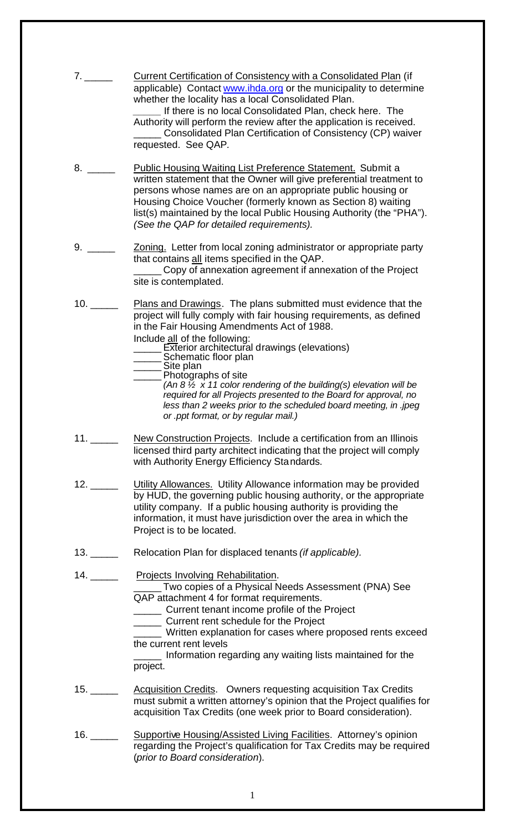| 7.  | <b>Current Certification of Consistency with a Consolidated Plan (if</b><br>applicable) Contact www.ihda.org or the municipality to determine<br>whether the locality has a local Consolidated Plan.<br>If there is no local Consolidated Plan, check here. The<br>Authority will perform the review after the application is received.<br>Consolidated Plan Certification of Consistency (CP) waiver<br>requested. See QAP.                                                                                                                                                                                 |
|-----|--------------------------------------------------------------------------------------------------------------------------------------------------------------------------------------------------------------------------------------------------------------------------------------------------------------------------------------------------------------------------------------------------------------------------------------------------------------------------------------------------------------------------------------------------------------------------------------------------------------|
|     | <b>Public Housing Waiting List Preference Statement. Submit a</b><br>written statement that the Owner will give preferential treatment to<br>persons whose names are on an appropriate public housing or<br>Housing Choice Voucher (formerly known as Section 8) waiting<br>list(s) maintained by the local Public Housing Authority (the "PHA").<br>(See the QAP for detailed requirements).                                                                                                                                                                                                                |
|     | Zoning. Letter from local zoning administrator or appropriate party<br>that contains all items specified in the QAP.<br>Copy of annexation agreement if annexation of the Project<br>site is contemplated.                                                                                                                                                                                                                                                                                                                                                                                                   |
|     | Plans and Drawings. The plans submitted must evidence that the<br>project will fully comply with fair housing requirements, as defined<br>in the Fair Housing Amendments Act of 1988.<br>Include all of the following:<br>_______ Exterior architectural drawings (elevations)<br>Schematic floor plan<br>Site plan<br>Photographs of site<br>(An 8 $\frac{7}{2}$ x 11 color rendering of the building(s) elevation will be<br>required for all Projects presented to the Board for approval, no<br>less than 2 weeks prior to the scheduled board meeting, in .jpeg<br>or .ppt format, or by regular mail.) |
| 11. | New Construction Projects. Include a certification from an Illinois<br>licensed third party architect indicating that the project will comply<br>with Authority Energy Efficiency Standards.                                                                                                                                                                                                                                                                                                                                                                                                                 |
|     | Utility Allowances. Utility Allowance information may be provided<br>by HUD, the governing public housing authority, or the appropriate<br>utility company. If a public housing authority is providing the<br>information, it must have jurisdiction over the area in which the<br>Project is to be located.                                                                                                                                                                                                                                                                                                 |
|     | Relocation Plan for displaced tenants <i>(if applicable)</i> .                                                                                                                                                                                                                                                                                                                                                                                                                                                                                                                                               |
| 14. | Projects Involving Rehabilitation.<br>Two copies of a Physical Needs Assessment (PNA) See<br>QAP attachment 4 for format requirements.<br>______ Current tenant income profile of the Project<br>_______ Current rent schedule for the Project<br>_____ Written explanation for cases where proposed rents exceed<br>the current rent levels<br>Information regarding any waiting lists maintained for the<br>project.                                                                                                                                                                                       |
|     | <b>Acquisition Credits.</b> Owners requesting acquisition Tax Credits<br>must submit a written attorney's opinion that the Project qualifies for<br>acquisition Tax Credits (one week prior to Board consideration).                                                                                                                                                                                                                                                                                                                                                                                         |
|     | Supportive Housing/Assisted Living Facilities. Attorney's opinion<br>regarding the Project's qualification for Tax Credits may be required<br>(prior to Board consideration).                                                                                                                                                                                                                                                                                                                                                                                                                                |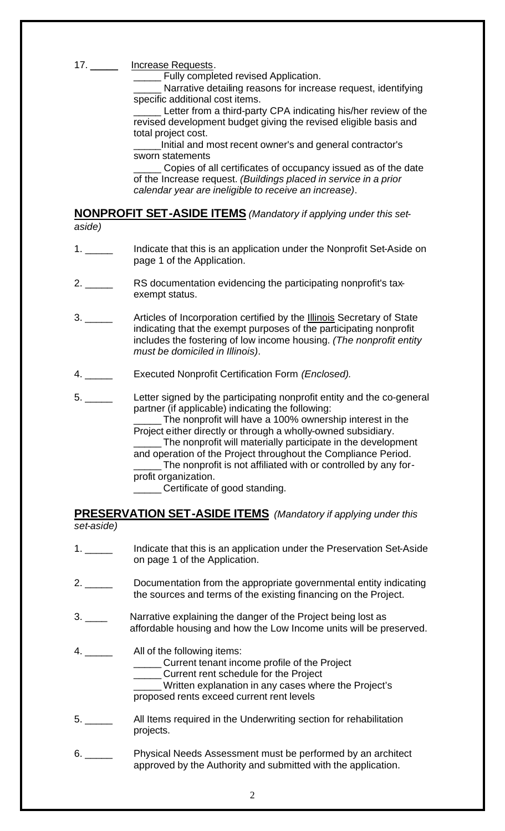#### 17. \_\_\_\_\_\_\_ Increase Requests.

Fully completed revised Application.

Narrative detailing reasons for increase request, identifying specific additional cost items.

\_\_\_\_\_ Letter from a third-party CPA indicating his/her review of the revised development budget giving the revised eligible basis and total project cost.

Initial and most recent owner's and general contractor's sworn statements

Copies of all certificates of occupancy issued as of the date of the Increase request. *(Buildings placed in service in a prior calendar year are ineligible to receive an increase)*.

### **NONPROFIT SET-ASIDE ITEMS** *(Mandatory if applying under this setaside)*

- 1. \_\_\_\_\_ Indicate that this is an application under the Nonprofit Set-Aside on page 1 of the Application.
- 2. \_\_\_\_\_ RS documentation evidencing the participating nonprofit's taxexempt status.
- 3. \_\_\_\_\_ Articles of Incorporation certified by the **Illinois** Secretary of State indicating that the exempt purposes of the participating nonprofit includes the fostering of low income housing. *(The nonprofit entity must be domiciled in Illinois)*.
- 4. \_\_\_\_\_ Executed Nonprofit Certification Form *(Enclosed).*
- 5. \_\_\_\_\_ Letter signed by the participating nonprofit entity and the co-general partner (if applicable) indicating the following:

\_\_\_\_\_ The nonprofit will have a 100% ownership interest in the Project either directly or through a wholly-owned subsidiary. \_\_\_\_\_ The nonprofit will materially participate in the development and operation of the Project throughout the Compliance Period. \_\_\_\_\_ The nonprofit is not affiliated with or controlled by any forprofit organization.

\_\_\_\_\_ Certificate of good standing.

#### **PRESERVATION SET-ASIDE ITEMS** *(Mandatory if applying under this set-aside)*

1. \_\_\_\_\_ Indicate that this is an application under the Preservation Set-Aside on page 1 of the Application. 2. \_\_\_\_\_ Documentation from the appropriate governmental entity indicating the sources and terms of the existing financing on the Project. 3. \_\_\_\_ Narrative explaining the danger of the Project being lost as affordable housing and how the Low Income units will be preserved. 4. \_\_\_\_\_ All of the following items: \_\_\_\_\_ Current tenant income profile of the Project \_\_\_\_\_ Current rent schedule for the Project \_\_\_\_\_ Written explanation in any cases where the Project's proposed rents exceed current rent levels 5. \_\_\_\_\_\_\_\_\_\_\_\_\_ All Items required in the Underwriting section for rehabilitation projects. 6. \_\_\_\_\_ Physical Needs Assessment must be performed by an architect approved by the Authority and submitted with the application.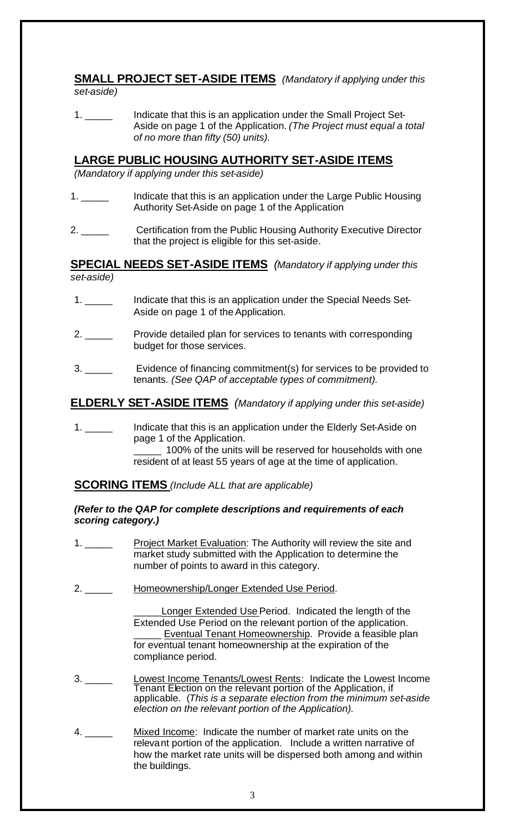### **SMALL PROJECT SET-ASIDE ITEMS** *(Mandatory if applying under this set-aside)*

1. \_\_\_\_\_ Indicate that this is an application under the Small Project Set-Aside on page 1 of the Application. *(The Project must equal a total of no more than fifty (50) units).*

## **LARGE PUBLIC HOUSING AUTHORITY SET-ASIDE ITEMS**

*(Mandatory if applying under this set-aside)*

- Indicate that this is an application under the Large Public Housing Authority Set-Aside on page 1 of the Application
- 2. \_\_\_\_\_ Certification from the Public Housing Authority Executive Director that the project is eligible for this set-aside.

**SPECIAL NEEDS SET-ASIDE ITEMS** *(Mandatory if applying under this set-aside)*

- 1. \_\_\_\_\_ Indicate that this is an application under the Special Needs Set-Aside on page 1 of the Application.
- 2. \_\_\_\_\_ Provide detailed plan for services to tenants with corresponding budget for those services.
- 3. \_\_\_\_\_ Evidence of financing commitment(s) for services to be provided to tenants. *(See QAP of acceptable types of commitment).*

**ELDERLY SET-ASIDE ITEMS** *(Mandatory if applying under this set-aside)*

1. \_\_\_\_\_ Indicate that this is an application under the Elderly Set-Aside on page 1 of the Application. \_\_\_\_\_ 100% of the units will be reserved for households with one resident of at least 55 years of age at the time of application.

**SCORING ITEMS** *(Include ALL that are applicable)*

*(Refer to the QAP for complete descriptions and requirements of each scoring category.)*

- 1. \_\_\_\_\_\_ Project Market Evaluation: The Authority will review the site and market study submitted with the Application to determine the number of points to award in this category.
- 2. \_\_\_\_\_\_\_ Homeownership/Longer Extended Use Period.

Longer Extended Use Period. Indicated the length of the Extended Use Period on the relevant portion of the application. Eventual Tenant Homeownership. Provide a feasible plan for eventual tenant homeownership at the expiration of the compliance period.

- 3. \_\_\_\_\_ Lowest Income Tenants/Lowest Rents: Indicate the Lowest Income Tenant Election on the relevant portion of the Application, if applicable. (*This is a separate election from the minimum set-aside election on the relevant portion of the Application).*
- 4. \_\_\_\_\_ Mixed Income: Indicate the number of market rate units on the relevant portion of the application. Include a written narrative of how the market rate units will be dispersed both among and within the buildings.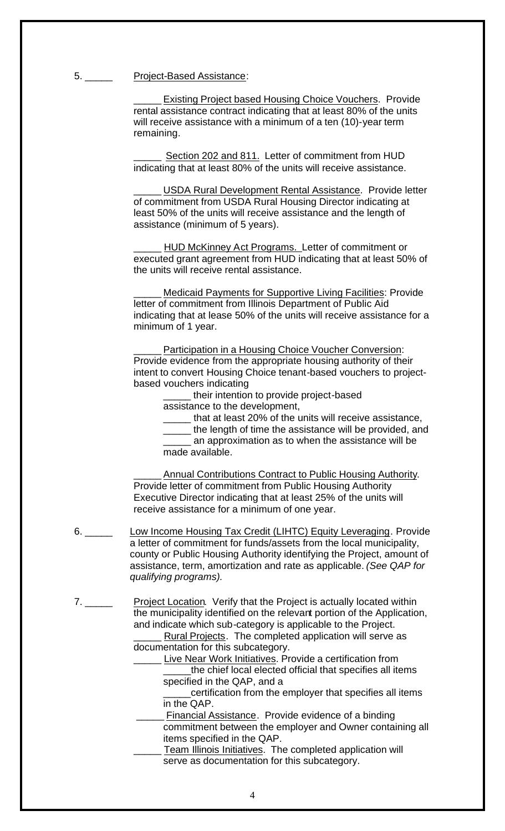5. \_\_\_\_\_\_\_\_ Project-Based Assistance:

Existing Project based Housing Choice Vouchers. Provide rental assistance contract indicating that at least 80% of the units will receive assistance with a minimum of a ten (10)-year term remaining.

Section 202 and 811. Letter of commitment from HUD indicating that at least 80% of the units will receive assistance.

USDA Rural Development Rental Assistance. Provide letter of commitment from USDA Rural Housing Director indicating at least 50% of the units will receive assistance and the length of assistance (minimum of 5 years).

HUD McKinney Act Programs. Letter of commitment or executed grant agreement from HUD indicating that at least 50% of the units will receive rental assistance.

Medicaid Payments for Supportive Living Facilities: Provide letter of commitment from Illinois Department of Public Aid indicating that at lease 50% of the units will receive assistance for a minimum of 1 year.

Participation in a Housing Choice Voucher Conversion: Provide evidence from the appropriate housing authority of their intent to convert Housing Choice tenant-based vouchers to projectbased vouchers indicating

their intention to provide project-based

assistance to the development,

- \_\_\_\_\_ that at least 20% of the units will receive assistance,
- the length of time the assistance will be provided, and an approximation as to when the assistance will be made available.

Annual Contributions Contract to Public Housing Authority. Provide letter of commitment from Public Housing Authority Executive Director indicating that at least 25% of the units will receive assistance for a minimum of one year.

- 6. \_\_\_\_\_ Low Income Housing Tax Credit (LIHTC) Equity Leveraging. Provide a letter of commitment for funds/assets from the local municipality, county or Public Housing Authority identifying the Project, amount of assistance, term, amortization and rate as applicable. *(See QAP for qualifying programs).*
- 7. \_\_\_\_\_ Project Location. Verify that the Project is actually located within the municipality identified on the relevant portion of the Application, and indicate which sub-category is applicable to the Project. Rural Projects. The completed application will serve as documentation for this subcategory.

Live Near Work Initiatives. Provide a certification from the chief local elected official that specifies all items specified in the QAP, and a

certification from the employer that specifies all items in the QAP.

 \_\_\_\_\_ Financial Assistance. Provide evidence of a binding commitment between the employer and Owner containing all items specified in the QAP.

Team Illinois Initiatives. The completed application will serve as documentation for this subcategory.

4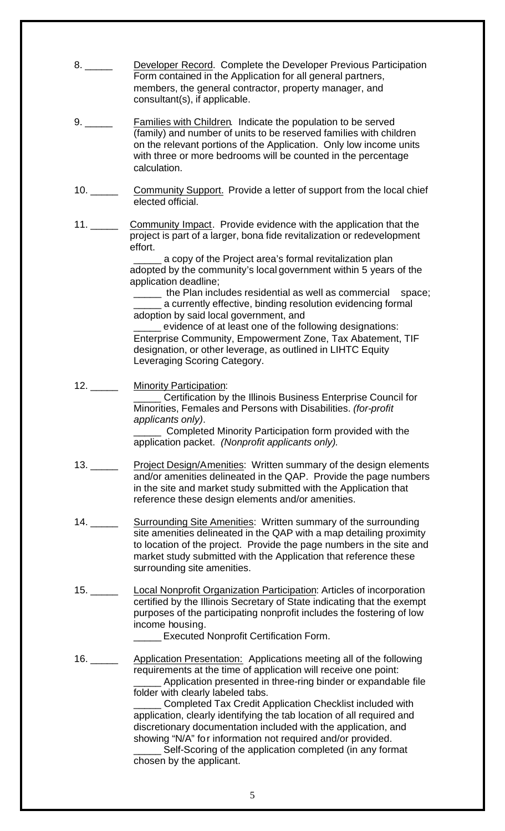|     | Developer Record. Complete the Developer Previous Participation<br>Form contained in the Application for all general partners,<br>members, the general contractor, property manager, and<br>consultant(s), if applicable.                                                                                                                                                                                                                                                                                                                                                                                                |
|-----|--------------------------------------------------------------------------------------------------------------------------------------------------------------------------------------------------------------------------------------------------------------------------------------------------------------------------------------------------------------------------------------------------------------------------------------------------------------------------------------------------------------------------------------------------------------------------------------------------------------------------|
|     | <b>Families with Children. Indicate the population to be served</b><br>(family) and number of units to be reserved families with children<br>on the relevant portions of the Application. Only low income units<br>with three or more bedrooms will be counted in the percentage<br>calculation.                                                                                                                                                                                                                                                                                                                         |
|     | Community Support. Provide a letter of support from the local chief<br>elected official.                                                                                                                                                                                                                                                                                                                                                                                                                                                                                                                                 |
|     | Community Impact. Provide evidence with the application that the<br>project is part of a larger, bona fide revitalization or redevelopment<br>effort.<br>a copy of the Project area's formal revitalization plan<br>adopted by the community's local government within 5 years of the<br>application deadline;                                                                                                                                                                                                                                                                                                           |
|     | _____ the Plan includes residential as well as commercial<br>space;<br>_____ a currently effective, binding resolution evidencing formal<br>adoption by said local government, and<br>evidence of at least one of the following designations:<br>Enterprise Community, Empowerment Zone, Tax Abatement, TIF<br>designation, or other leverage, as outlined in LIHTC Equity<br>Leveraging Scoring Category.                                                                                                                                                                                                               |
| 12. | <b>Minority Participation:</b><br>Certification by the Illinois Business Enterprise Council for<br>Minorities, Females and Persons with Disabilities. (for-profit<br>applicants only).<br>Completed Minority Participation form provided with the<br>application packet. (Nonprofit applicants only).                                                                                                                                                                                                                                                                                                                    |
| 13. | Project Design/Amenities: Written summary of the design elements<br>and/or amenities delineated in the QAP. Provide the page numbers<br>in the site and market study submitted with the Application that<br>reference these design elements and/or amenities.                                                                                                                                                                                                                                                                                                                                                            |
|     | Surrounding Site Amenities: Written summary of the surrounding<br>site amenities delineated in the QAP with a map detailing proximity<br>to location of the project. Provide the page numbers in the site and<br>market study submitted with the Application that reference these<br>sur rounding site amenities.                                                                                                                                                                                                                                                                                                        |
|     | <b>Local Nonprofit Organization Participation: Articles of incorporation</b><br>certified by the Illinois Secretary of State indicating that the exempt<br>purposes of the participating nonprofit includes the fostering of low<br>income housing.<br><b>Executed Nonprofit Certification Form.</b>                                                                                                                                                                                                                                                                                                                     |
| 16. | <b>Application Presentation: Applications meeting all of the following</b><br>requirements at the time of application will receive one point:<br>Application presented in three-ring binder or expandable file<br>folder with clearly labeled tabs.<br><b>Completed Tax Credit Application Checklist included with</b><br>application, clearly identifying the tab location of all required and<br>discretionary documentation included with the application, and<br>showing "N/A" for information not required and/or provided.<br>Self-Scoring of the application completed (in any format<br>chosen by the applicant. |